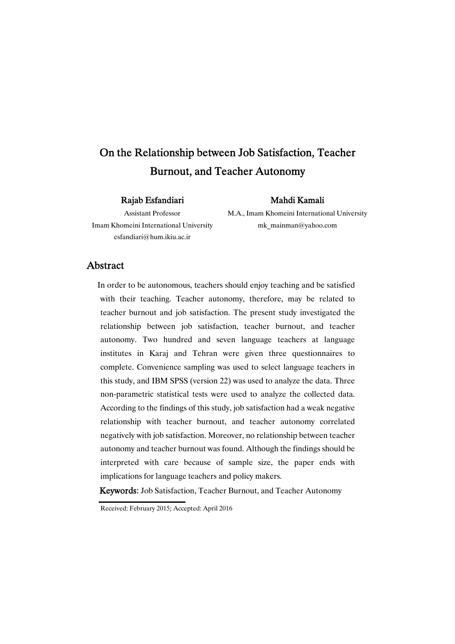# On the Relationship between Job Satisfaction, Teacher Burnout, and Teacher Autonomy

## Rajab Esfandiari

## Mahdi Kamali

Assistant Professor Imam Khomeini International University esfandiari@hum.ikiu.ac.ir

M.A., Imam Khomeini International University mk\_mainman@yahoo.com

## Abstract

In order to be autonomous, teachers should enjoy teaching and be satisfied with their teaching. Teacher autonomy, therefore, may be related to teacher burnout and job satisfaction. The present study investigated the relationship between job satisfaction, teacher burnout, and teacher autonomy. Two hundred and seven language teachers at language institutes in Karaj and Tehran were given three questionnaires to complete. Convenience sampling was used to select language teachers in this study, and IBM SPSS (version 22) was used to analyze the data. Three non-parametric statistical tests were used to analyze the collected data. According to the findings of this study, job satisfaction had a weak negative relationship with teacher burnout, and teacher autonomy correlated negatively with job satisfaction. Moreover, no relationship between teacher autonomy and teacher burnout was found. Although the findings should be interpreted with care because of sample size, the paper ends with implications for language teachers and policy makers.

Keywords: Job Satisfaction, Teacher Burnout, and Teacher Autonomy

Received: February 2015; Accepted: April 2016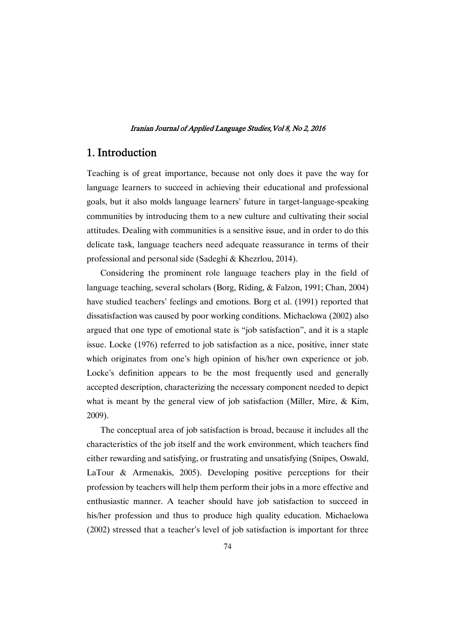## 1.Introduction

Teaching is of great importance, because not only does it pave the way for language learners to succeed in achieving their educational and professional goals, but it also molds language learners' future in target-language-speaking communities by introducing them to a new culture and cultivating their social attitudes. Dealing with communities is a sensitive issue, and in order to do this delicate task, language teachers need adequate reassurance in terms of their professional and personal side (Sadeghi & Khezrlou, 2014).

Considering the prominent role language teachers play in the field of language teaching, several scholars (Borg, Riding, & Falzon, 1991; Chan, 2004) have studied teachers' feelings and emotions. Borg et al. (1991) reported that dissatisfaction was caused by poor working conditions. Michaelowa (2002) also argued that one type of emotional state is "job satisfaction", and it is a staple issue. Locke (1976) referred to job satisfaction as a nice, positive, inner state which originates from one's high opinion of his/her own experience or job. Locke's definition appears to be the most frequently used and generally accepted description, characterizing the necessary component needed to depict what is meant by the general view of job satisfaction (Miller, Mire, & Kim, 2009).

The conceptual area of job satisfaction is broad, because it includes all the characteristics of the job itself and the work environment, which teachers find either rewarding and satisfying, or frustrating and unsatisfying (Snipes, Oswald, LaTour & Armenakis, 2005). Developing positive perceptions for their profession by teachers will help them perform their jobs in a more effective and enthusiastic manner. A teacher should have job satisfaction to succeed in his/her profession and thus to produce high quality education. Michaelowa (2002) stressed that a teacher's level of job satisfaction is important for three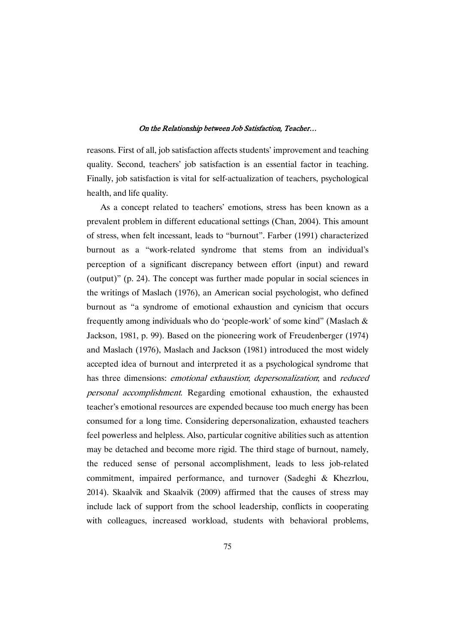reasons. First of all, job satisfaction affects students' improvement and teaching quality. Second, teachers' job satisfaction is an essential factor in teaching. Finally, job satisfaction is vital for self-actualization of teachers, psychological health, and life quality.

As a concept related to teachers' emotions, stress has been known as a prevalent problem in different educational settings (Chan, 2004). This amount of stress, when felt incessant, leads to "burnout". Farber (1991) characterized burnout as a "work-related syndrome that stems from an individual's perception of a significant discrepancy between effort (input) and reward (output)" (p. 24). The concept was further made popular in social sciences in the writings of Maslach (1976), an American social psychologist, who defined burnout as "a syndrome of emotional exhaustion and cynicism that occurs frequently among individuals who do 'people-work' of some kind" (Maslach & Jackson, 1981, p. 99). Based on the pioneering work of Freudenberger (1974) and Maslach (1976), Maslach and Jackson (1981) introduced the most widely accepted idea of burnout and interpreted it as a psychological syndrome that has three dimensions: emotional exhaustion; depersonalization; and reduced personal accomplishment. Regarding emotional exhaustion, the exhausted teacher's emotional resources are expended because too much energy has been consumed for a long time. Considering depersonalization, exhausted teachers feel powerless and helpless. Also, particular cognitive abilities such as attention may be detached and become more rigid. The third stage of burnout, namely, the reduced sense of personal accomplishment, leads to less job-related commitment, impaired performance, and turnover (Sadeghi & Khezrlou, 2014). Skaalvik and Skaalvik (2009) affirmed that the causes of stress may include lack of support from the school leadership, conflicts in cooperating with colleagues, increased workload, students with behavioral problems,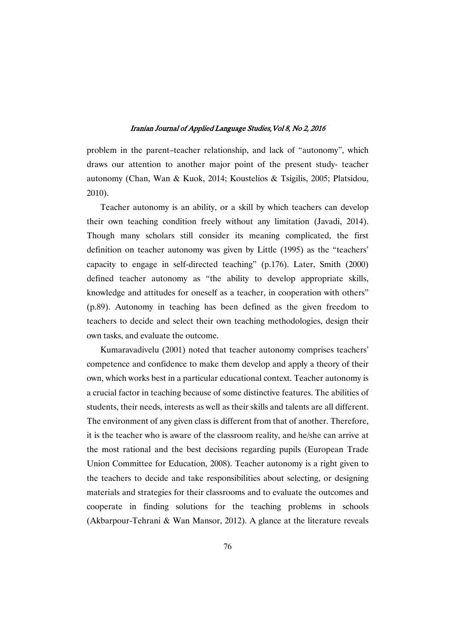problem in the parent–teacher relationship, and lack of "autonomy", which draws our attention to another major point of the present study- teacher autonomy (Chan, Wan & Kuok, 2014; Koustelios & Tsigilis, 2005; Platsidou, 2010).

Teacher autonomy is an ability, or a skill by which teachers can develop their own teaching condition freely without any limitation (Javadi, 2014). Though many scholars still consider its meaning complicated, the first definition on teacher autonomy was given by Little (1995) as the "teachers' capacity to engage in self-directed teaching" (p.176). Later, Smith (2000) defined teacher autonomy as "the ability to develop appropriate skills, knowledge and attitudes for oneself as a teacher, in cooperation with others" (p.89). Autonomy in teaching has been defined as the given freedom to teachers to decide and select their own teaching methodologies, design their own tasks, and evaluate the outcome.

Kumaravadivelu (2001) noted that teacher autonomy comprises teachers' competence and confidence to make them develop and apply a theory of their own, which works best in a particular educational context. Teacher autonomy is a crucial factor in teaching because of some distinctive features. The abilities of students, their needs, interests as well as their skills and talents are all different. The environment of any given class is different from that of another. Therefore, it is the teacher who is aware of the classroom reality, and he/she can arrive at the most rational and the best decisions regarding pupils (European Trade Union Committee for Education, 2008). Teacher autonomy is a right given to the teachers to decide and take responsibilities about selecting, or designing materials and strategies for their classrooms and to evaluate the outcomes and cooperate in finding solutions for the teaching problems in schools (Akbarpour-Tehrani & Wan Mansor, 2012). A glance at the literature reveals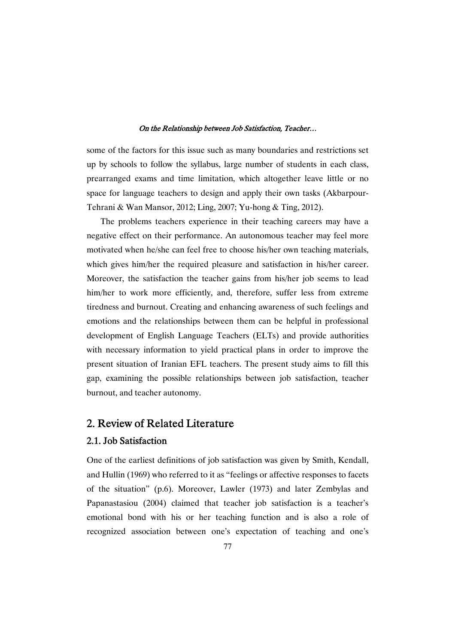some of the factors for this issue such as many boundaries and restrictions set up by schools to follow the syllabus, large number of students in each class, prearranged exams and time limitation, which altogether leave little or no space for language teachers to design and apply their own tasks (Akbarpour-Tehrani & Wan Mansor, 2012; Ling, 2007; Yu-hong & Ting, 2012).

The problems teachers experience in their teaching careers may have a negative effect on their performance. An autonomous teacher may feel more motivated when he/she can feel free to choose his/her own teaching materials, which gives him/her the required pleasure and satisfaction in his/her career. Moreover, the satisfaction the teacher gains from his/her job seems to lead him/her to work more efficiently, and, therefore, suffer less from extreme tiredness and burnout. Creating and enhancing awareness of such feelings and emotions and the relationships between them can be helpful in professional development of English Language Teachers (ELTs) and provide authorities with necessary information to yield practical plans in order to improve the present situation of Iranian EFL teachers. The present study aims to fill this gap, examining the possible relationships between job satisfaction, teacher burnout, and teacher autonomy.

## 2. Review of Related Literature

## 2.1. Job Satisfaction

One of the earliest definitions of job satisfaction was given by Smith, Kendall, and Hullin (1969) who referred to it as "feelings or affective responses to facets of the situation" (p.6). Moreover, Lawler (1973) and later Zembylas and Papanastasiou (2004) claimed that teacher job satisfaction is a teacher's emotional bond with his or her teaching function and is also a role of recognized association between one's expectation of teaching and one's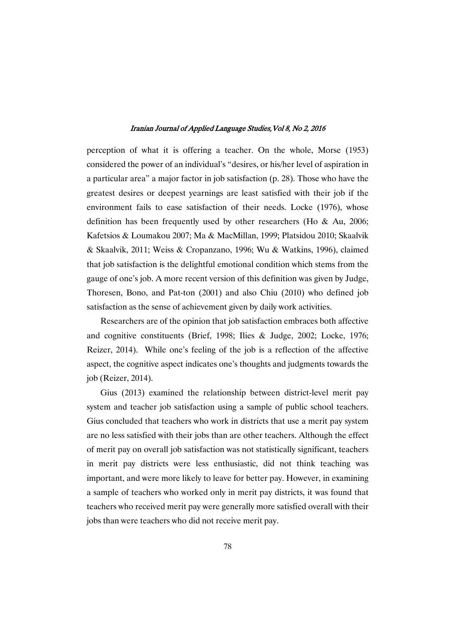perception of what it is offering a teacher. On the whole, Morse (1953) considered the power of an individual's "desires, or his/her level of aspiration in a particular area" a major factor in job satisfaction (p. 28). Those who have the greatest desires or deepest yearnings are least satisfied with their job if the environment fails to ease satisfaction of their needs. Locke (1976), whose definition has been frequently used by other researchers (Ho & Au, 2006; Kafetsios & Loumakou 2007; Ma & MacMillan, 1999; Platsidou 2010; Skaalvik & Skaalvik, 2011; Weiss & Cropanzano, 1996; Wu & Watkins, 1996), claimed that job satisfaction is the delightful emotional condition which stems from the gauge of one's job. A more recent version of this definition was given by Judge, Thoresen, Bono, and Pat-ton (2001) and also Chiu (2010) who defined job satisfaction as the sense of achievement given by daily work activities.

Researchers are of the opinion that job satisfaction embraces both affective and cognitive constituents (Brief, 1998; Ilies & Judge, 2002; Locke, 1976; Reizer, 2014). While one's feeling of the job is a reflection of the affective aspect, the cognitive aspect indicates one's thoughts and judgments towards the job (Reizer, 2014).

Gius (2013) examined the relationship between district-level merit pay system and teacher job satisfaction using a sample of public school teachers. Gius concluded that teachers who work in districts that use a merit pay system are no less satisfied with their jobs than are other teachers. Although the effect of merit pay on overall job satisfaction was not statistically significant, teachers in merit pay districts were less enthusiastic, did not think teaching was important, and were more likely to leave for better pay. However, in examining a sample of teachers who worked only in merit pay districts, it was found that teachers who received merit pay were generally more satisfied overall with their jobs than were teachers who did not receive merit pay.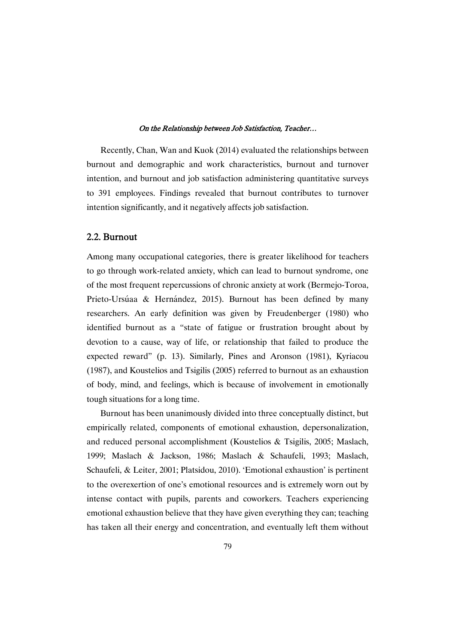Recently, Chan, Wan and Kuok (2014) evaluated the relationships between burnout and demographic and work characteristics, burnout and turnover intention, and burnout and job satisfaction administering quantitative surveys to 391 employees. Findings revealed that burnout contributes to turnover intention significantly, and it negatively affects job satisfaction.

## 2.2.Burnout

Among many occupational categories, there is greater likelihood for teachers to go through work-related anxiety, which can lead to burnout syndrome, one of the most frequent repercussions of chronic anxiety at work (Bermejo-Toroa, Prieto-Ursúaa & Hernández, 2015). Burnout has been defined by many researchers. An early definition was given by Freudenberger (1980) who identified burnout as a "state of fatigue or frustration brought about by devotion to a cause, way of life, or relationship that failed to produce the expected reward" (p. 13). Similarly, Pines and Aronson (1981), Kyriacou (1987), and Koustelios and Tsigilis (2005) referred to burnout as an exhaustion of body, mind, and feelings, which is because of involvement in emotionally tough situations for a long time.

Burnout has been unanimously divided into three conceptually distinct, but empirically related, components of emotional exhaustion, depersonalization, and reduced personal accomplishment (Koustelios & Tsigilis, 2005; Maslach, 1999; Maslach & Jackson, 1986; Maslach & Schaufeli, 1993; Maslach, Schaufeli, & Leiter, 2001; Platsidou, 2010). 'Emotional exhaustion' is pertinent to the overexertion of one's emotional resources and is extremely worn out by intense contact with pupils, parents and coworkers. Teachers experiencing emotional exhaustion believe that they have given everything they can; teaching has taken all their energy and concentration, and eventually left them without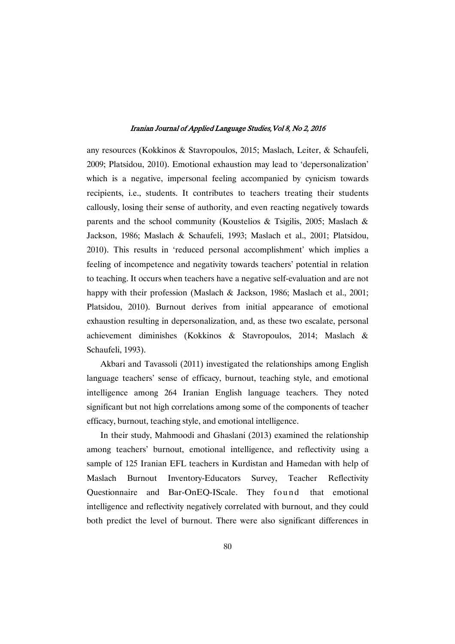any resources (Kokkinos & Stavropoulos, 2015; Maslach, Leiter, & Schaufeli, 2009; Platsidou, 2010). Emotional exhaustion may lead to 'depersonalization' which is a negative, impersonal feeling accompanied by cynicism towards recipients, i.e., students. It contributes to teachers treating their students callously, losing their sense of authority, and even reacting negatively towards parents and the school community (Koustelios & Tsigilis, 2005; Maslach & Jackson, 1986; Maslach & Schaufeli, 1993; Maslach et al., 2001; Platsidou, 2010). This results in 'reduced personal accomplishment' which implies a feeling of incompetence and negativity towards teachers' potential in relation to teaching. It occurs when teachers have a negative self-evaluation and are not happy with their profession (Maslach & Jackson, 1986; Maslach et al., 2001; Platsidou, 2010). Burnout derives from initial appearance of emotional exhaustion resulting in depersonalization, and, as these two escalate, personal achievement diminishes (Kokkinos & Stavropoulos, 2014; Maslach & Schaufeli, 1993).

Akbari and Tavassoli (2011) investigated the relationships among English language teachers' sense of efficacy, burnout, teaching style, and emotional intelligence among 264 Iranian English language teachers. They noted significant but not high correlations among some of the components of teacher efficacy, burnout, teaching style, and emotional intelligence.

In their study, Mahmoodi and Ghaslani (2013) examined the relationship among teachers' burnout, emotional intelligence, and reflectivity using a sample of 125 Iranian EFL teachers in Kurdistan and Hamedan with help of Maslach Burnout Inventory-Educators Survey, Teacher Reflectivity Questionnaire and Bar-OnEQ-IScale. They found that emotional intelligence and reflectivity negatively correlated with burnout, and they could both predict the level of burnout. There were also significant differences in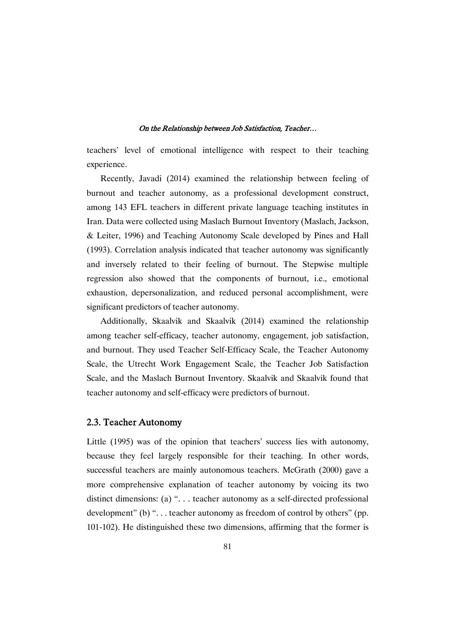teachers' level of emotional intelligence with respect to their teaching experience.

Recently, Javadi (2014) examined the relationship between feeling of burnout and teacher autonomy, as a professional development construct, among 143 EFL teachers in different private language teaching institutes in Iran. Data were collected using Maslach Burnout Inventory (Maslach, Jackson, & Leiter, 1996) and Teaching Autonomy Scale developed by Pines and Hall (1993). Correlation analysis indicated that teacher autonomy was significantly and inversely related to their feeling of burnout. The Stepwise multiple regression also showed that the components of burnout, i.e., emotional exhaustion, depersonalization, and reduced personal accomplishment, were significant predictors of teacher autonomy.

Additionally, Skaalvik and Skaalvik (2014) examined the relationship among teacher self-efficacy, teacher autonomy, engagement, job satisfaction, and burnout. They used Teacher Self-Efficacy Scale, the Teacher Autonomy Scale, the Utrecht Work Engagement Scale, the Teacher Job Satisfaction Scale, and the Maslach Burnout Inventory. Skaalvik and Skaalvik found that teacher autonomy and self-efficacy were predictors of burnout.

## 2.3. Teacher Autonomy

Little (1995) was of the opinion that teachers' success lies with autonomy, because they feel largely responsible for their teaching. In other words, successful teachers are mainly autonomous teachers. McGrath (2000) gave a more comprehensive explanation of teacher autonomy by voicing its two distinct dimensions: (a) ". . . teacher autonomy as a self-directed professional development" (b) ". . . teacher autonomy as freedom of control by others" (pp. 101-102). He distinguished these two dimensions, affirming that the former is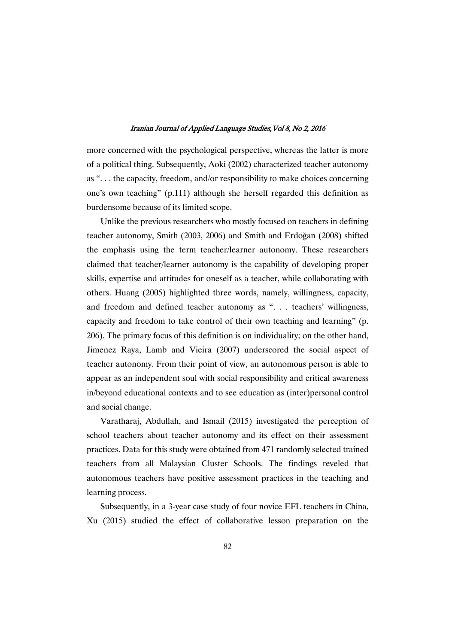more concerned with the psychological perspective, whereas the latter is more of a political thing. Subsequently, Aoki (2002) characterized teacher autonomy as ". . . the capacity, freedom, and/or responsibility to make choices concerning one's own teaching" (p.111) although she herself regarded this definition as burdensome because of its limited scope.

Unlike the previous researchers who mostly focused on teachers in defining teacher autonomy, Smith (2003, 2006) and Smith and Erdoğan (2008) shifted the emphasis using the term teacher/learner autonomy. These researchers claimed that teacher/learner autonomy is the capability of developing proper skills, expertise and attitudes for oneself as a teacher, while collaborating with others. Huang (2005) highlighted three words, namely, willingness, capacity, and freedom and defined teacher autonomy as ". . . teachers' willingness, capacity and freedom to take control of their own teaching and learning" (p. 206). The primary focus of this definition is on individuality; on the other hand, Jimenez Raya, Lamb and Vieira (2007) underscored the social aspect of teacher autonomy. From their point of view, an autonomous person is able to appear as an independent soul with social responsibility and critical awareness in/beyond educational contexts and to see education as (inter)personal control and social change.

Varatharaj, Abdullah, and Ismail (2015) investigated the perception of school teachers about teacher autonomy and its effect on their assessment practices. Data for this study were obtained from 471 randomly selected trained teachers from all Malaysian Cluster Schools. The findings reveled that autonomous teachers have positive assessment practices in the teaching and learning process.

Subsequently, in a 3-year case study of four novice EFL teachers in China, Xu (2015) studied the effect of collaborative lesson preparation on the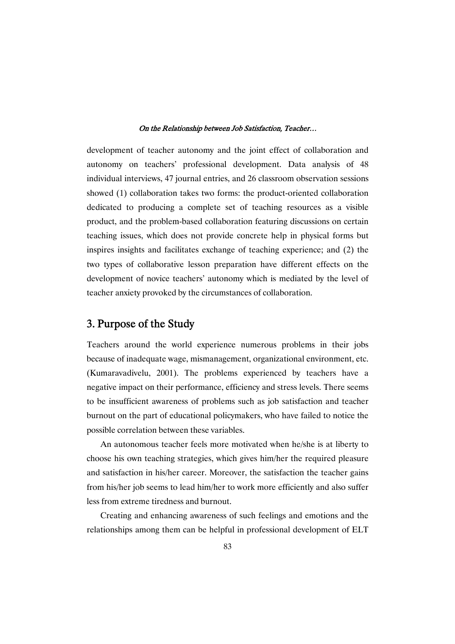development of teacher autonomy and the joint effect of collaboration and autonomy on teachers' professional development. Data analysis of 48 individual interviews, 47 journal entries, and 26 classroom observation sessions showed (1) collaboration takes two forms: the product-oriented collaboration dedicated to producing a complete set of teaching resources as a visible product, and the problem-based collaboration featuring discussions on certain teaching issues, which does not provide concrete help in physical forms but inspires insights and facilitates exchange of teaching experience; and (2) the two types of collaborative lesson preparation have different effects on the development of novice teachers' autonomy which is mediated by the level of teacher anxiety provoked by the circumstances of collaboration.

## 3. Purpose of the Study

Teachers around the world experience numerous problems in their jobs because of inadequate wage, mismanagement, organizational environment, etc. (Kumaravadivelu, 2001). The problems experienced by teachers have a negative impact on their performance, efficiency and stress levels. There seems to be insufficient awareness of problems such as job satisfaction and teacher burnout on the part of educational policymakers, who have failed to notice the possible correlation between these variables.

An autonomous teacher feels more motivated when he/she is at liberty to choose his own teaching strategies, which gives him/her the required pleasure and satisfaction in his/her career. Moreover, the satisfaction the teacher gains from his/her job seems to lead him/her to work more efficiently and also suffer less from extreme tiredness and burnout.

Creating and enhancing awareness of such feelings and emotions and the relationships among them can be helpful in professional development of ELT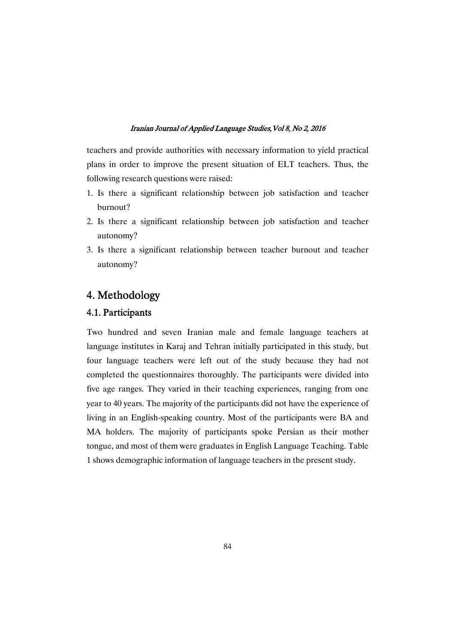teachers and provide authorities with necessary information to yield practical plans in order to improve the present situation of ELT teachers. Thus, the following research questions were raised:

- 1. Is there a significant relationship between job satisfaction and teacher burnout?
- 2. Is there a significant relationship between job satisfaction and teacher autonomy?
- 3. Is there a significant relationship between teacher burnout and teacher autonomy?

## 4.Methodology

## 4.1.Participants

Two hundred and seven Iranian male and female language teachers at language institutes in Karaj and Tehran initially participated in this study, but four language teachers were left out of the study because they had not completed the questionnaires thoroughly. The participants were divided into five age ranges. They varied in their teaching experiences, ranging from one year to 40 years. The majority of the participants did not have the experience of living in an English-speaking country. Most of the participants were BA and MA holders. The majority of participants spoke Persian as their mother tongue, and most of them were graduates in English Language Teaching. Table 1 shows demographic information of language teachers in the present study.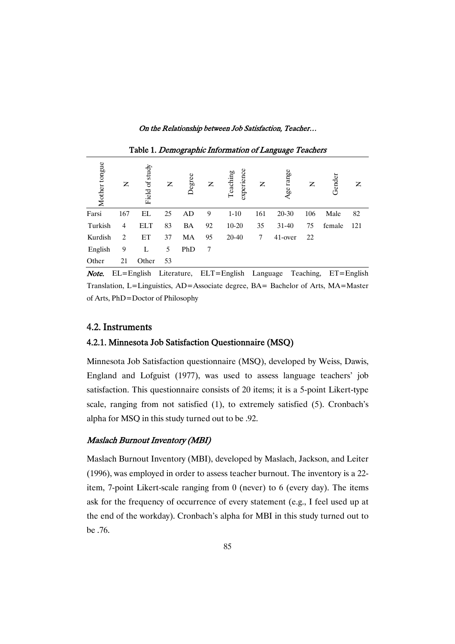On the Relationship between Job Satisfaction, Teacher...

| Mother tongue | z   | Field of study | Z  | Degree | Z  | experience<br>Teaching | $\mathsf{z}$ | range<br>Age | Z   | Gender | Z   |
|---------------|-----|----------------|----|--------|----|------------------------|--------------|--------------|-----|--------|-----|
| Farsi         | 167 | EL             | 25 | AD     | 9  | $1-10$                 | 161          | $20 - 30$    | 106 | Male   | 82  |
| Turkish       | 4   | <b>ELT</b>     | 83 | BA     | 92 | $10 - 20$              | 35           | $31 - 40$    | 75  | female | 121 |
| Kurdish       | 2   | ET             | 37 | MA     | 95 | $20 - 40$              | 7            | 41-over      | 22  |        |     |
| English       | 9   | L              | 5  | PhD    | 7  |                        |              |              |     |        |     |
| Other         | 21  | Other          | 53 |        |    |                        |              |              |     |        |     |

Table 1. Demographic Information of Language Teachers

**Note.** EL=English Literature, ELT=English Language Teaching, ET=English Translation, L=Linguistics, AD=Associate degree, BA= Bachelor of Arts, MA=Master of Arts, PhD=Doctor of Philosophy

## 4.2.Instruments

## 4.2.1. Minnesota Job Satisfaction Questionnaire (MSQ)

Minnesota Job Satisfaction questionnaire (MSQ), developed by Weiss, Dawis, England and Lofguist (1977), was used to assess language teachers' job satisfaction. This questionnaire consists of 20 items; it is a 5-point Likert-type scale, ranging from not satisfied (1), to extremely satisfied (5). Cronbach's alpha for MSQ in this study turned out to be .92.

## Maslach Burnout Inventory (MBI)

Maslach Burnout Inventory (MBI), developed by Maslach, Jackson, and Leiter (1996), was employed in order to assess teacher burnout. The inventory is a 22 item, 7-point Likert-scale ranging from 0 (never) to 6 (every day). The items ask for the frequency of occurrence of every statement (e.g., I feel used up at the end of the workday). Cronbach's alpha for MBI in this study turned out to be .76.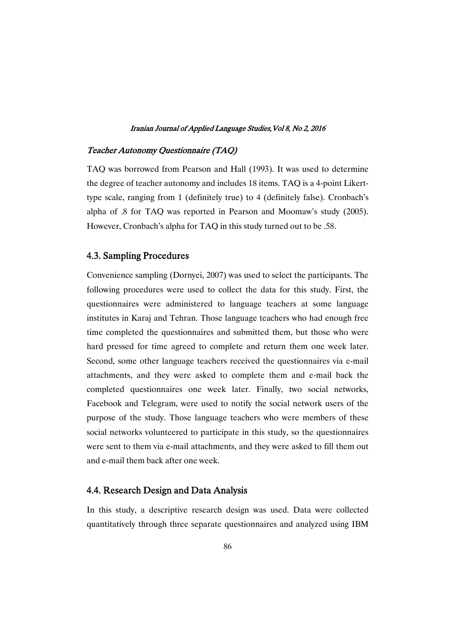## Teacher Autonomy Questionnaire (TAQ)

TAQ was borrowed from Pearson and Hall (1993). It was used to determine the degree of teacher autonomy and includes 18 items. TAQ is a 4-point Likerttype scale, ranging from 1 (definitely true) to 4 (definitely false). Cronbach's alpha of .8 for TAQ was reported in Pearson and Moomaw's study (2005). However, Cronbach's alpha for TAQ in this study turned out to be .58.

## 4.3. Sampling Procedures

Convenience sampling (Dornyei, 2007) was used to select the participants. The following procedures were used to collect the data for this study. First, the questionnaires were administered to language teachers at some language institutes in Karaj and Tehran. Those language teachers who had enough free time completed the questionnaires and submitted them, but those who were hard pressed for time agreed to complete and return them one week later. Second, some other language teachers received the questionnaires via e-mail attachments, and they were asked to complete them and e-mail back the completed questionnaires one week later. Finally, two social networks, Facebook and Telegram, were used to notify the social network users of the purpose of the study. Those language teachers who were members of these social networks volunteered to participate in this study, so the questionnaires were sent to them via e-mail attachments, and they were asked to fill them out and e-mail them back after one week.

## 4.4. Research Design and Data Analysis

In this study, a descriptive research design was used. Data were collected quantitatively through three separate questionnaires and analyzed using IBM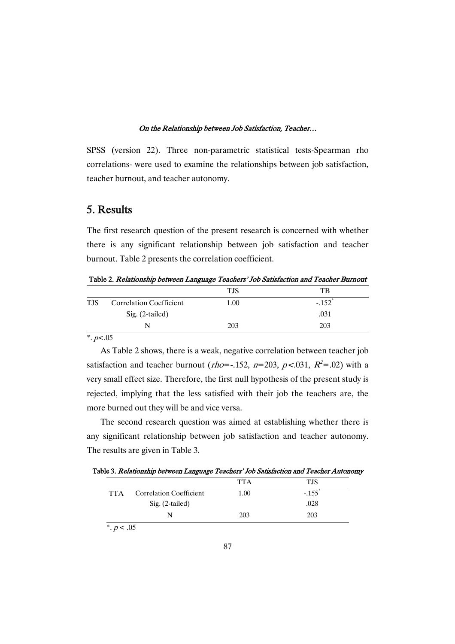SPSS (version 22). Three non-parametric statistical tests-Spearman rho correlations- were used to examine the relationships between job satisfaction, teacher burnout, and teacher autonomy.

## 5.Results

The first research question of the present research is concerned with whether there is any significant relationship between job satisfaction and teacher burnout. Table 2 presents the correlation coefficient.

Table 2. Relationship between Language Teachers' Job Satisfaction and Teacher Burnout

|            |                                | <b>TJS</b> | TB                   |
|------------|--------------------------------|------------|----------------------|
| <b>TJS</b> | <b>Correlation Coefficient</b> | 1.00       | $-.152$ <sup>*</sup> |
|            | Sig. (2-tailed)                |            | .031                 |
|            | N                              | 203        | 203                  |
|            |                                |            |                      |

\*.  $p<.05$ 

As Table 2 shows, there is a weak, negative correlation between teacher job satisfaction and teacher burnout (*rho*=-.152, *n*=203, *p*<.031,  $R^2$ =.02) with a very small effect size. Therefore, the first null hypothesis of the present study is rejected, implying that the less satisfied with their job the teachers are, the more burned out they will be and vice versa.

The second research question was aimed at establishing whether there is any significant relationship between job satisfaction and teacher autonomy. The results are given in Table 3.

Table 3. Relationship between Language Teachers' Job Satisfaction and Teacher Autonomy

|                                      |                                | <b>TTA</b> | <b>TJS</b>           |
|--------------------------------------|--------------------------------|------------|----------------------|
| <b>TTA</b>                           | <b>Correlation Coefficient</b> | 1.00       | $-.155$ <sup>'</sup> |
|                                      | Sig. (2-tailed)                |            | .028                 |
|                                      |                                | 203        | 203                  |
| $\mathbf{a}$<br>$\sim$ $\sim$ $\sim$ |                                |            |                      |

 $*$ .  $p < .05$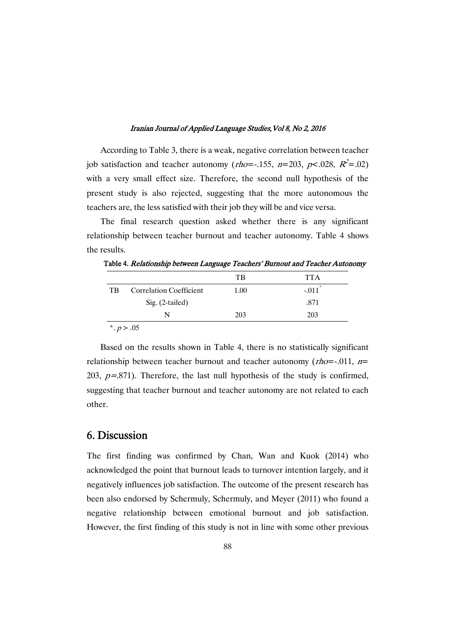According to Table 3, there is a weak, negative correlation between teacher job satisfaction and teacher autonomy (*rho*=-.155, n=203, p<.028,  $R^2$ =.02) with a very small effect size. Therefore, the second null hypothesis of the present study is also rejected, suggesting that the more autonomous the teachers are, the less satisfied with their job they will be and vice versa.

The final research question asked whether there is any significant relationship between teacher burnout and teacher autonomy. Table 4 shows the results.

| 1.00 | $-.011$ <sup>*</sup> |
|------|----------------------|
|      | .871                 |
| 203  | 203                  |
|      |                      |

Table 4. Relationship between Language Teachers' Burnout and Teacher Autonomy

Based on the results shown in Table 4, there is no statistically significant relationship between teacher burnout and teacher autonomy ( $rho=0.01$ ,  $n=$ 203,  $p=.871$ ). Therefore, the last null hypothesis of the study is confirmed, suggesting that teacher burnout and teacher autonomy are not related to each other.

## 6.Discussion

The first finding was confirmed by Chan, Wan and Kuok (2014) who acknowledged the point that burnout leads to turnover intention largely, and it negatively influences job satisfaction. The outcome of the present research has been also endorsed by Schermuly, Schermuly, and Meyer (2011) who found a negative relationship between emotional burnout and job satisfaction. However, the first finding of this study is not in line with some other previous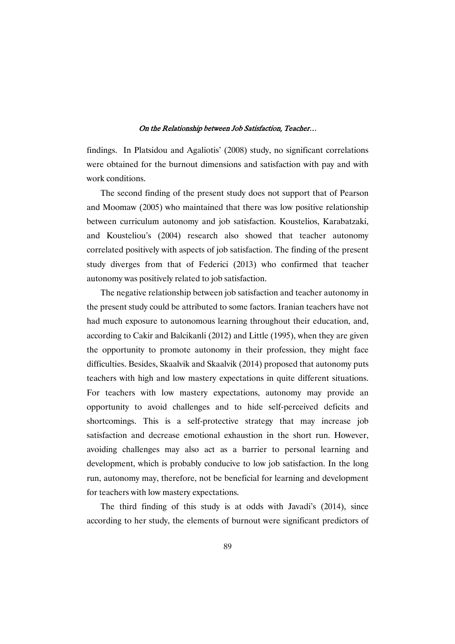findings. In Platsidou and Agaliotis' (2008) study, no significant correlations were obtained for the burnout dimensions and satisfaction with pay and with work conditions.

The second finding of the present study does not support that of Pearson and Moomaw (2005) who maintained that there was low positive relationship between curriculum autonomy and job satisfaction. Koustelios, Karabatzaki, and Kousteliou's (2004) research also showed that teacher autonomy correlated positively with aspects of job satisfaction. The finding of the present study diverges from that of Federici (2013) who confirmed that teacher autonomy was positively related to job satisfaction.

The negative relationship between job satisfaction and teacher autonomy in the present study could be attributed to some factors. Iranian teachers have not had much exposure to autonomous learning throughout their education, and, according to Cakir and Balcikanli (2012) and Little (1995), when they are given the opportunity to promote autonomy in their profession, they might face difficulties. Besides, Skaalvik and Skaalvik (2014) proposed that autonomy puts teachers with high and low mastery expectations in quite different situations. For teachers with low mastery expectations, autonomy may provide an opportunity to avoid challenges and to hide self-perceived deficits and shortcomings. This is a self-protective strategy that may increase job satisfaction and decrease emotional exhaustion in the short run. However, avoiding challenges may also act as a barrier to personal learning and development, which is probably conducive to low job satisfaction. In the long run, autonomy may, therefore, not be beneficial for learning and development for teachers with low mastery expectations.

The third finding of this study is at odds with Javadi's (2014), since according to her study, the elements of burnout were significant predictors of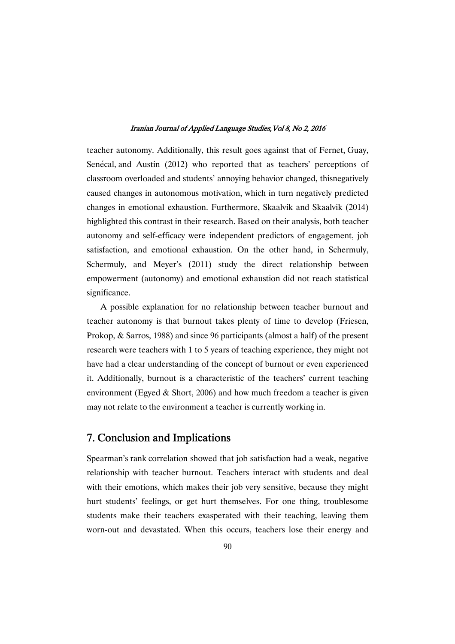teacher autonomy. Additionally, this result goes against that of Fernet, Guay, Senécal, and Austin (2012) who reported that as teachers' perceptions of classroom overloaded and students' annoying behavior changed, thisnegatively caused changes in autonomous motivation, which in turn negatively predicted changes in emotional exhaustion. Furthermore, Skaalvik and Skaalvik (2014) highlighted this contrast in their research. Based on their analysis, both teacher autonomy and self-efficacy were independent predictors of engagement, job satisfaction, and emotional exhaustion. On the other hand, in Schermuly, Schermuly, and Meyer's (2011) study the direct relationship between empowerment (autonomy) and emotional exhaustion did not reach statistical significance.

A possible explanation for no relationship between teacher burnout and teacher autonomy is that burnout takes plenty of time to develop (Friesen, Prokop, & Sarros, 1988) and since 96 participants (almost a half) of the present research were teachers with 1 to 5 years of teaching experience, they might not have had a clear understanding of the concept of burnout or even experienced it. Additionally, burnout is a characteristic of the teachers' current teaching environment (Egyed  $&$  Short, 2006) and how much freedom a teacher is given may not relate to the environment a teacher is currently working in.

## 7. Conclusion and Implications

Spearman's rank correlation showed that job satisfaction had a weak, negative relationship with teacher burnout. Teachers interact with students and deal with their emotions, which makes their job very sensitive, because they might hurt students' feelings, or get hurt themselves. For one thing, troublesome students make their teachers exasperated with their teaching, leaving them worn-out and devastated. When this occurs, teachers lose their energy and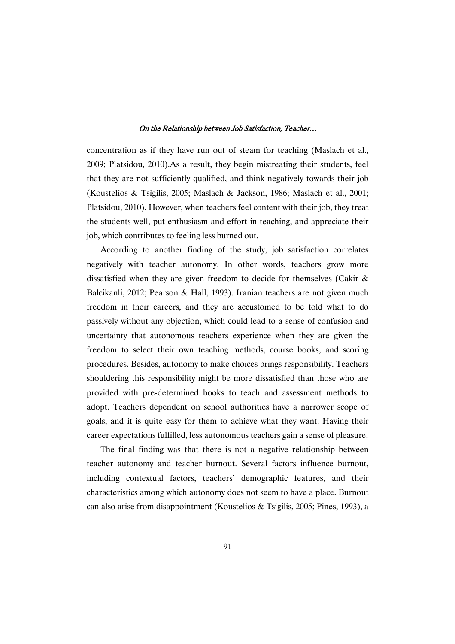concentration as if they have run out of steam for teaching (Maslach et al., 2009; Platsidou, 2010).As a result, they begin mistreating their students, feel that they are not sufficiently qualified, and think negatively towards their job (Koustelios & Tsigilis, 2005; Maslach & Jackson, 1986; Maslach et al., 2001; Platsidou, 2010). However, when teachers feel content with their job, they treat the students well, put enthusiasm and effort in teaching, and appreciate their job, which contributes to feeling less burned out.

According to another finding of the study, job satisfaction correlates negatively with teacher autonomy. In other words, teachers grow more dissatisfied when they are given freedom to decide for themselves (Cakir & Balcikanli, 2012; Pearson & Hall, 1993). Iranian teachers are not given much freedom in their careers, and they are accustomed to be told what to do passively without any objection, which could lead to a sense of confusion and uncertainty that autonomous teachers experience when they are given the freedom to select their own teaching methods, course books, and scoring procedures. Besides, autonomy to make choices brings responsibility. Teachers shouldering this responsibility might be more dissatisfied than those who are provided with pre-determined books to teach and assessment methods to adopt. Teachers dependent on school authorities have a narrower scope of goals, and it is quite easy for them to achieve what they want. Having their career expectations fulfilled, less autonomous teachers gain a sense of pleasure.

The final finding was that there is not a negative relationship between teacher autonomy and teacher burnout. Several factors influence burnout, including contextual factors, teachers' demographic features, and their characteristics among which autonomy does not seem to have a place. Burnout can also arise from disappointment (Koustelios & Tsigilis, 2005; Pines, 1993), a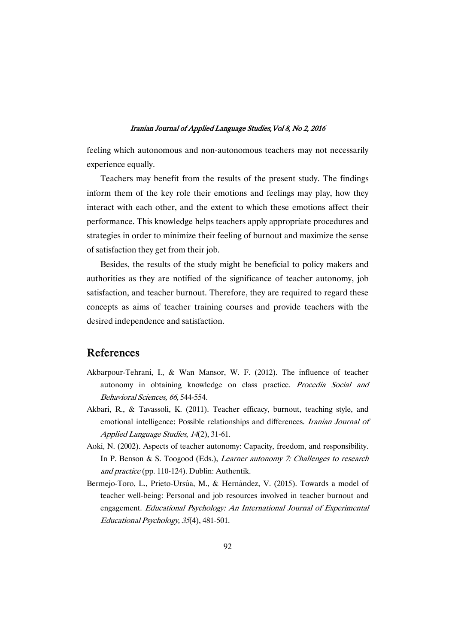feeling which autonomous and non-autonomous teachers may not necessarily experience equally.

Teachers may benefit from the results of the present study. The findings inform them of the key role their emotions and feelings may play, how they interact with each other, and the extent to which these emotions affect their performance. This knowledge helps teachers apply appropriate procedures and strategies in order to minimize their feeling of burnout and maximize the sense of satisfaction they get from their job.

Besides, the results of the study might be beneficial to policy makers and authorities as they are notified of the significance of teacher autonomy, job satisfaction, and teacher burnout. Therefore, they are required to regard these concepts as aims of teacher training courses and provide teachers with the desired independence and satisfaction.

## References

- Akbarpour-Tehrani, I., & Wan Mansor, W. F. (2012). The influence of teacher autonomy in obtaining knowledge on class practice. Procedia Social and Behavioral Sciences, 66, 544-554.
- Akbari, R., & Tavassoli, K. (2011). Teacher efficacy, burnout, teaching style, and emotional intelligence: Possible relationships and differences. Iranian Journal of Applied Language Studies, <sup>14</sup>(2), 31-61.
- Aoki, N. (2002). Aspects of teacher autonomy: Capacity, freedom, and responsibility. In P. Benson & S. Toogood (Eds.), *Learner autonomy 7: Challenges to research* and practice (pp. 110-124). Dublin: Authentik.
- Bermejo-Toro, L., Prieto-Ursúa, M., & Hernández, V. (2015). Towards a model of teacher well-being: Personal and job resources involved in teacher burnout and engagement. Educational Psychology: An International Journal of Experimental Educational Psychology, <sup>35</sup>(4), 481-501.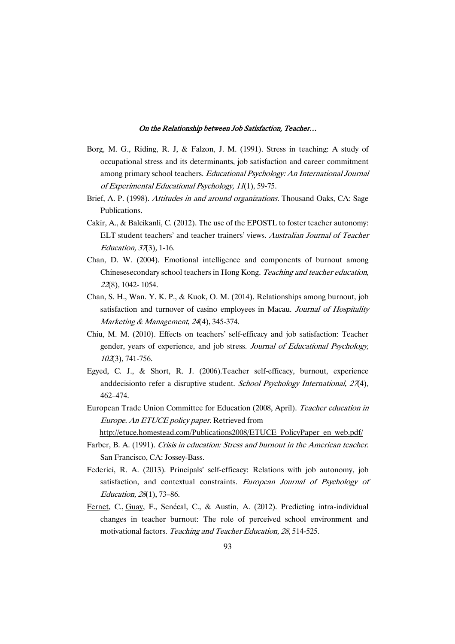- Borg, M. G., Riding, R. J, & Falzon, J. M. (1991). Stress in teaching: A study of occupational stress and its determinants, job satisfaction and career commitment among primary school teachers. Educational Psychology: An International Journal of Experimental Educational Psychology, <sup>11</sup>(1), 59-75.
- Brief, A. P. (1998). Attitudes in and around organizations. Thousand Oaks, CA: Sage Publications.
- Cakir, A., & Balcikanli, C. (2012). The use of the EPOSTL to foster teacher autonomy: ELT student teachers' and teacher trainers' views. Australian Journal of Teacher Education, <sup>37</sup>(3), 1-16.
- Chan, D. W. (2004). Emotional intelligence and components of burnout among Chinesesecondary school teachers in Hong Kong. Teaching and teacher education, <sup>22</sup>(8), 1042- 1054.
- Chan, S. H., Wan. Y. K. P., & Kuok, O. M. (2014). Relationships among burnout, job satisfaction and turnover of casino employees in Macau. Journal of Hospitality Marketing & Management, 24(4), 345-374.
- Chiu, M. M. (2010). Effects on teachers' self-efficacy and job satisfaction: Teacher gender, years of experience, and job stress. Journal of Educational Psychology, <sup>102</sup>(3), 741-756.
- Egyed, C. J., & Short, R. J. (2006).Teacher self-efficacy, burnout, experience anddecisionto refer a disruptive student. School Psychology International, 27(4), 462–474.
- European Trade Union Committee for Education (2008, April). Teacher education in Europe. An ETUCE policy paper. Retrieved from http://etuce.homestead.com/Publications2008/ETUCE\_PolicyPaper\_en\_web.pdf/
- Farber, B. A. (1991). Crisis in education: Stress and burnout in the American teacher. San Francisco, CA: Jossey-Bass.
- Federici, R. A. (2013). Principals' self-efficacy: Relations with job autonomy, job satisfaction, and contextual constraints. European Journal of Psychology of Education, <sup>28</sup>(1), 73–86.
- Fernet, C., Guay, F., Senécal, C., & Austin, A. (2012). Predicting intra-individual changes in teacher burnout: The role of perceived school environment and motivational factors. Teaching and Teacher Education, <sup>28</sup>, 514-525.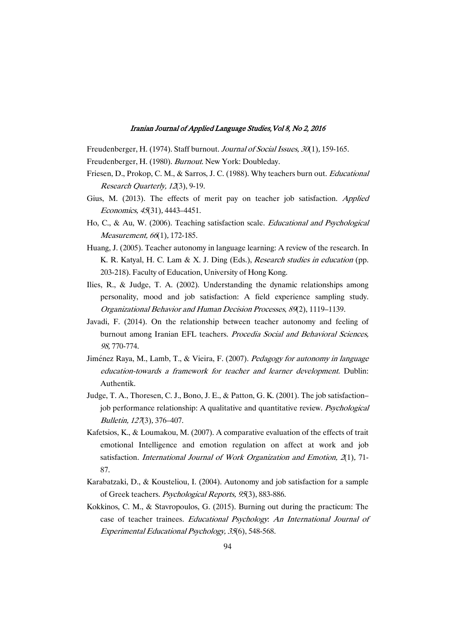Freudenberger, H. (1974). Staff burnout. Journal of Social Issues, 30(1), 159-165.

Freudenberger, H. (1980). Burnout. New York: Doubleday.

- Friesen, D., Prokop, C. M., & Sarros, J. C. (1988). Why teachers burn out. Educational Research Quarterly, <sup>12</sup>(3), 9-19.
- Gius, M. (2013). The effects of merit pay on teacher job satisfaction. Applied Economics, <sup>45</sup>(31), 4443–4451.
- Ho, C., & Au, W. (2006). Teaching satisfaction scale. Educational and Psychological Measurement, 66(1), 172-185.
- Huang, J. (2005). Teacher autonomy in language learning: A review of the research. In K. R. Katyal, H. C. Lam & X. J. Ding (Eds.), Research studies in education (pp. 203-218). Faculty of Education, University of Hong Kong.
- Ilies, R., & Judge, T. A. (2002). Understanding the dynamic relationships among personality, mood and job satisfaction: A field experience sampling study. Organizational Behavior and Human Decision Processes, <sup>89</sup>(2), 1119–1139.
- Javadi, F. (2014). On the relationship between teacher autonomy and feeling of burnout among Iranian EFL teachers. Procedia Social and Behavioral Sciences, 98, 770-774.
- Jiménez Raya, M., Lamb, T., & Vieira, F. (2007). Pedagogy for autonomy in language education-towards <sup>a</sup> framework for teacher and learner development. Dublin: Authentik.
- Judge, T. A., Thoresen, C. J., Bono, J. E., & Patton, G. K. (2001). The job satisfaction– job performance relationship: A qualitative and quantitative review. Psychological Bulletin, <sup>127</sup>(3), 376–407.
- Kafetsios, K., & Loumakou, M. (2007). A comparative evaluation of the effects of trait emotional Intelligence and emotion regulation on affect at work and job satisfaction. International Journal of Work Organization and Emotion,  $\mathcal{X}(1)$ , 71-87.
- Karabatzaki, D., & Kousteliou, I. (2004). Autonomy and job satisfaction for a sample of Greek teachers. Psychological Reports, <sup>95</sup>(3), 883-886.
- Kokkinos, C. M., & Stavropoulos, G. (2015). Burning out during the practicum: The case of teacher trainees. Educational Psychology: An International Journal of Experimental Educational Psychology, <sup>35</sup>(6), 548-568.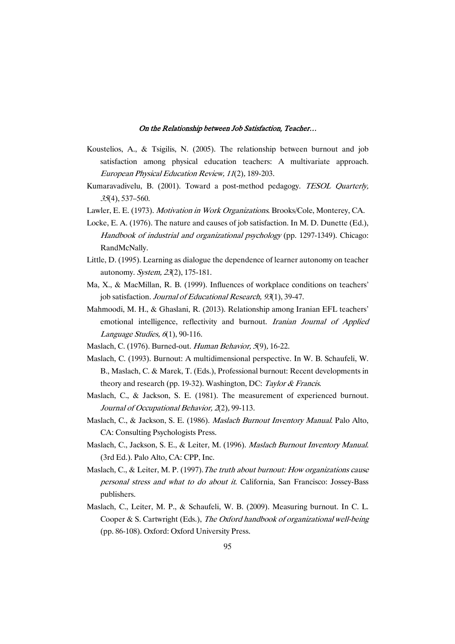- Koustelios, A., & Tsigilis, N. (2005). The relationship between burnout and job satisfaction among physical education teachers: A multivariate approach. European Physical Education Review, <sup>11</sup>(2), 189-203.
- Kumaravadivelu, B. (2001). Toward a post-method pedagogy. TESOL Quarterly, <sup>35</sup>(4), 537–560.
- Lawler, E. E. (1973). Motivation in Work Organizations. Brooks/Cole, Monterey, CA.
- Locke, E. A. (1976). The nature and causes of job satisfaction. In M. D. Dunette (Ed.), Handbook of industrial and organizational psychology (pp. 1297-1349). Chicago: RandMcNally.
- Little, D. (1995). Learning as dialogue the dependence of learner autonomy on teacher autonomy. System, <sup>23</sup>(2), 175-181.
- Ma, X., & MacMillan, R. B. (1999). Influences of workplace conditions on teachers' job satisfaction. Journal of Educational Research, 93(1), 39-47.
- Mahmoodi, M. H., & Ghaslani, R. (2013). Relationship among Iranian EFL teachers' emotional intelligence, reflectivity and burnout. Iranian Journal of Applied Language Studies,  $6(1)$ , 90-116.
- Maslach, C. (1976). Burned-out. Human Behavior, <sup>5</sup>(9), 16-22.
- Maslach, C. (1993). Burnout: A multidimensional perspective. In W. B. Schaufeli, W. B., Maslach, C. & Marek, T. (Eds.), Professional burnout: Recent developments in theory and research (pp. 19-32). Washington, DC: Taylor & Francis.
- Maslach, C., & Jackson, S. E. (1981). The measurement of experienced burnout. Journal of Occupational Behavior, <sup>2</sup>(2), 99-113.
- Maslach, C., & Jackson, S. E. (1986). Maslach Burnout Inventory Manual. Palo Alto, CA: Consulting Psychologists Press.
- Maslach, C., Jackson, S. E., & Leiter, M. (1996). Maslach Burnout Inventory Manual. (3rd Ed.). Palo Alto, CA: CPP, Inc.
- Maslach, C., & Leiter, M. P. (1997). The truth about burnout: How organizations cause personal stress and what to do about it. California, San Francisco: Jossey-Bass publishers.
- Maslach, C., Leiter, M. P., & Schaufeli, W. B. (2009). Measuring burnout. In C. L. Cooper & S. Cartwright (Eds.), The Oxford handbook of organizational well-being (pp. 86-108). Oxford: Oxford University Press.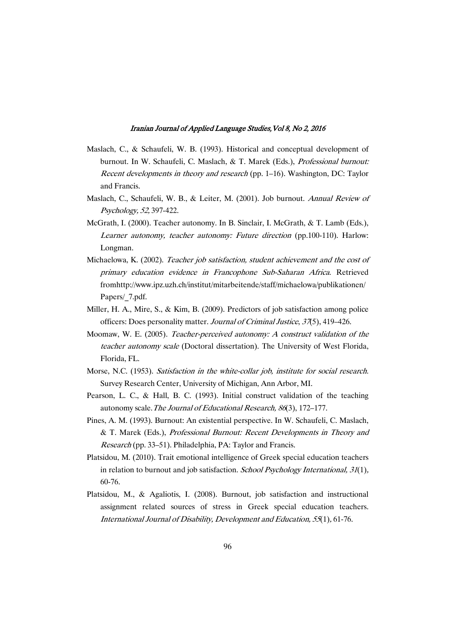- Maslach, C., & Schaufeli, W. B. (1993). Historical and conceptual development of burnout. In W. Schaufeli, C. Maslach, & T. Marek (Eds.), Professional burnout: Recent developments in theory and research (pp. 1–16). Washington, DC: Taylor and Francis.
- Maslach, C., Schaufeli, W. B., & Leiter, M. (2001). Job burnout. Annual Review of Psychology, 52, 397-422.
- McGrath, I. (2000). Teacher autonomy. In B. Sinclair, I. McGrath, & T. Lamb (Eds.), Learner autonomy, teacher autonomy: Future direction (pp.100-110). Harlow: Longman.
- Michaelowa, K. (2002). Teacher job satisfaction, student achievement and the cost of primary education evidence in Francophone Sub-Saharan Africa. Retrieved fromhttp://www.ipz.uzh.ch/institut/mitarbeitende/staff/michaelowa/publikationen/ Papers/\_7.pdf.
- Miller, H. A., Mire, S., & Kim, B. (2009). Predictors of job satisfaction among police officers: Does personality matter. Journal of Criminal Justice, <sup>37</sup>(5), 419–426.
- Moomaw, W. E. (2005). Teacher-perceived autonomy: <sup>A</sup> construct validation of the teacher autonomy scale (Doctoral dissertation). The University of West Florida, Florida, FL.
- Morse, N.C. (1953). Satisfaction in the white-collar job, institute for social research. Survey Research Center, University of Michigan, Ann Arbor, MI.
- Pearson, L. C., & Hall, B. C. (1993). Initial construct validation of the teaching autonomy scale.The Journal of Educational Research, <sup>86</sup>(3), 172–177.
- Pines, A. M. (1993). Burnout: An existential perspective. In W. Schaufeli, C. Maslach, & T. Marek (Eds.), Professional Burnout: Recent Developments in Theory and Research (pp. 33–51). Philadelphia, PA: Taylor and Francis.
- Platsidou, M. (2010). Trait emotional intelligence of Greek special education teachers in relation to burnout and job satisfaction. *School Psychology International*, 31(1), 60-76.
- Platsidou, M., & Agaliotis, I. (2008). Burnout, job satisfaction and instructional assignment related sources of stress in Greek special education teachers. International Journal of Disability, Development and Education, <sup>55</sup>(1), 61-76.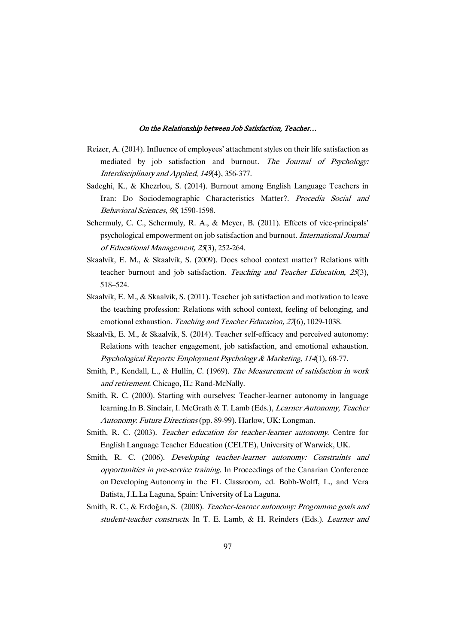- Reizer, A. (2014). Influence of employees' attachment styles on their life satisfaction as mediated by job satisfaction and burnout. The Journal of Psychology: Interdisciplinary and Applied, <sup>149</sup>(4), 356-377.
- Sadeghi, K., & Khezrlou, S. (2014). Burnout among English Language Teachers in Iran: Do Sociodemographic Characteristics Matter?. Procedia Social and Behavioral Sciences, 98, 1590-1598.
- Schermuly, C. C., Schermuly, R. A., & Meyer, B. (2011). Effects of vice-principals' psychological empowerment on job satisfaction and burnout. International Journal of Educational Management, <sup>25</sup>(3), 252-264.
- Skaalvik, E. M., & Skaalvik, S. (2009). Does school context matter? Relations with teacher burnout and job satisfaction. Teaching and Teacher Education, 25(3), 518–524.
- Skaalvik, E. M., & Skaalvik, S. (2011). Teacher job satisfaction and motivation to leave the teaching profession: Relations with school context, feeling of belonging, and emotional exhaustion. Teaching and Teacher Education, 27(6), 1029-1038.
- Skaalvik, E. M., & Skaalvik, S. (2014). Teacher self-efficacy and perceived autonomy: Relations with teacher engagement, job satisfaction, and emotional exhaustion. Psychological Reports: Employment Psychology & Marketing, <sup>114</sup>(1), 68-77.
- Smith, P., Kendall, L., & Hullin, C. (1969). The Measurement of satisfaction in work and retirement. Chicago, IL: Rand-McNally.
- Smith, R. C. (2000). Starting with ourselves: Teacher-learner autonomy in language learning.In B. Sinclair, I. McGrath & T. Lamb (Eds.), Learner Autonomy, Teacher Autonomy: Future Directions (pp. 89-99). Harlow, UK: Longman.
- Smith, R. C. (2003). Teacher education for teacher-learner autonomy. Centre for English Language Teacher Education (CELTE), University of Warwick, UK.
- Smith, R. C. (2006). Developing teacher-learner autonomy: Constraints and opportunities in pre-service training. In Proceedings of the Canarian Conference on Developing Autonomy in the FL Classroom, ed. Bobb-Wolff, L., and Vera Batista, J.L.La Laguna, Spain: University of La Laguna.
- Smith, R. C., & Erdoğan, S. (2008). Teacher-learner autonomy: Programme goals and student-teacher constructs. In T. E. Lamb, & H. Reinders (Eds.). Learner and